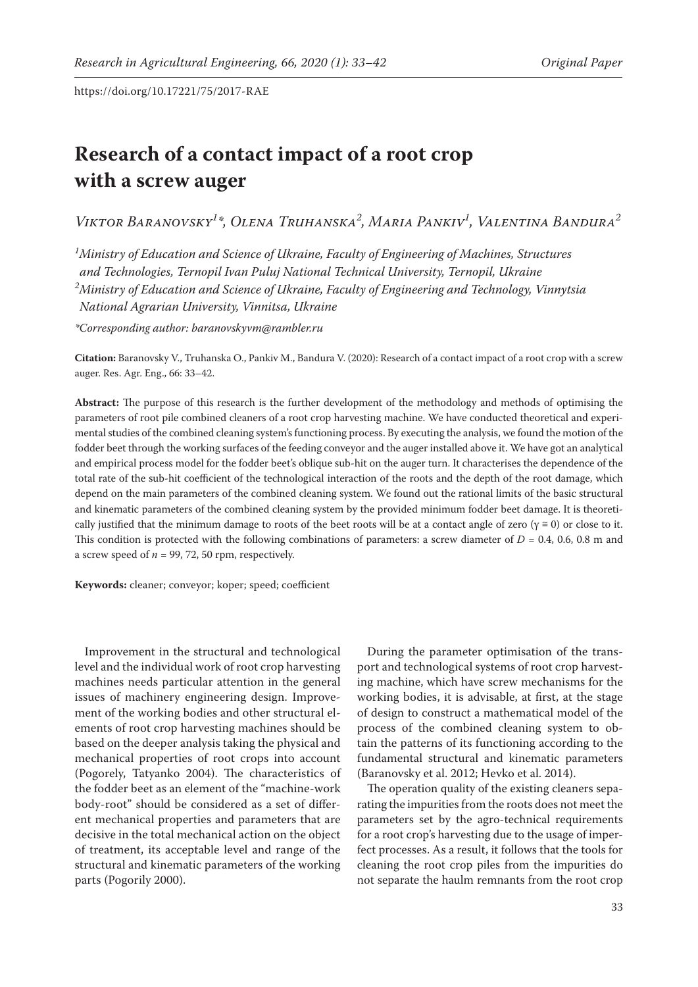# **Research of a contact impact of a root crop with a screw auger**

*Viktor Baranovsky1 \*, Olena Truhanska2 , Maria Pankiv1 , Valentina Bandura2*

*1 Ministry of Education and Science of Ukraine, Faculty of Engineering of Machines, Structures and Technologies, Ternopil Ivan Puluj National Technical University, Ternopil, Ukraine 2 Ministry of Education and Science of Ukraine, Faculty of Engineering and Technology, Vinnytsia National Agrarian University, Vinnitsa, Ukraine*

*\*Corresponding author: baranovskyvm@rambler.ru*

**Citation:** Baranovsky V., Truhanska O., Pankiv M., Bandura V. (2020): Research of a contact impact of a root crop with a screw auger. Res. Agr. Eng., 66: 33–42.

**Abstract:** The purpose of this research is the further development of the methodology and methods of optimising the parameters of root pile combined cleaners of a root crop harvesting machine. We have conducted theoretical and experimental studies of the combined cleaning system's functioning process. By executing the analysis, we found the motion of the fodder beet through the working surfaces of the feeding conveyor and the auger installed above it. We have got an analytical and empirical process model for the fodder beet's oblique sub-hit on the auger turn. It characterises the dependence of the total rate of the sub-hit coefficient of the technological interaction of the roots and the depth of the root damage, which depend on the main parameters of the combined cleaning system. We found out the rational limits of the basic structural and kinematic parameters of the combined cleaning system by the provided minimum fodder beet damage. It is theoretically justified that the minimum damage to roots of the beet roots will be at a contact angle of zero ( $\gamma \approx 0$ ) or close to it. This condition is protected with the following combinations of parameters: a screw diameter of *D* = 0.4, 0.6, 0.8 m and a screw speed of  $n = 99, 72, 50$  rpm, respectively.

**Keywords:** cleaner; conveyor; koper; speed; coefficient

Improvement in the structural and technological level and the individual work of root crop harvesting machines needs particular attention in the general issues of machinery engineering design. Improvement of the working bodies and other structural elements of root crop harvesting machines should be based on the deeper analysis taking the physical and mechanical properties of root crops into account (Pogorely, Tatyanko 2004). The characteristics of the fodder beet as an element of the "machine-work body-root" should be considered as a set of different mechanical properties and parameters that are decisive in the total mechanical action on the object of treatment, its acceptable level and range of the structural and kinematic parameters of the working parts (Pogorily 2000).

During the parameter optimisation of the transport and technological systems of root crop harvesting machine, which have screw mechanisms for the working bodies, it is advisable, at first, at the stage of design to construct a mathematical model of the process of the combined cleaning system to obtain the patterns of its functioning according to the fundamental structural and kinematic parameters (Baranovsky et al. 2012; Hevko et al. 2014).

The operation quality of the existing cleaners separating the impurities from the roots does not meet the parameters set by the agro-technical requirements for a root crop's harvesting due to the usage of imperfect processes. As a result, it follows that the tools for cleaning the root crop piles from the impurities do not separate the haulm remnants from the root crop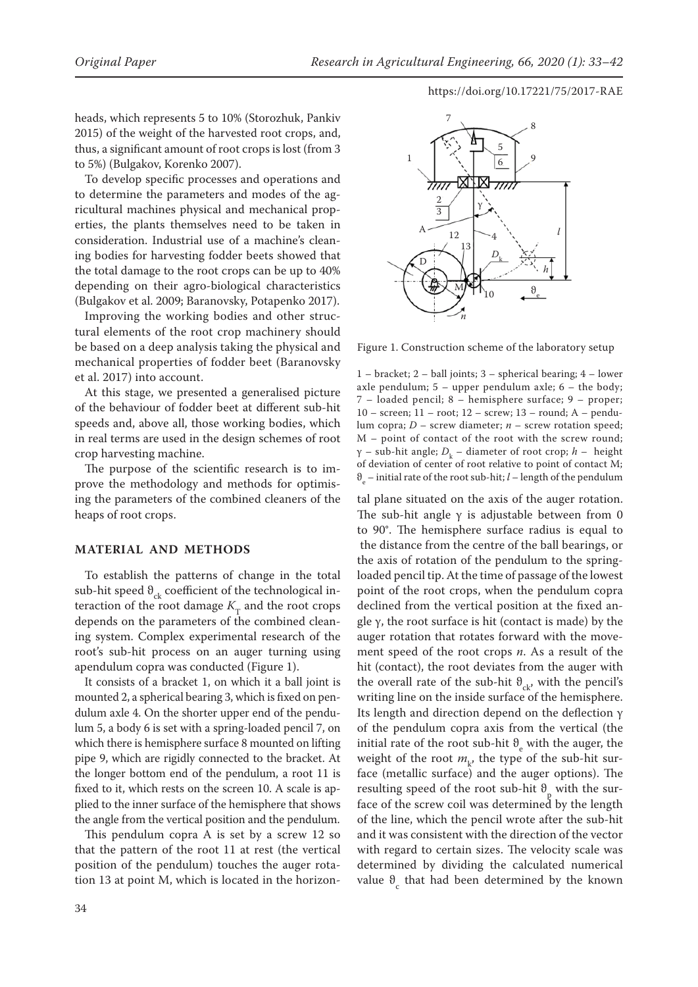heads, which represents 5 to 10% (Storozhuk, Pankiv 2015) of the weight of the harvested root crops, and, thus, a significant amount of root crops is lost (from 3 to 5%) (Bulgakov, Korenko 2007).

To develop specific processes and operations and to determine the parameters and modes of the agricultural machines physical and mechanical properties, the plants themselves need to be taken in consideration. Industrial use of a machine's cleaning bodies for harvesting fodder beets showed that the total damage to the root crops can be up to 40% depending on their agro-biological characteristics (Bulgakov et al. 2009; Baranovsky, Potapenko 2017).

Improving the working bodies and other structural elements of the root crop machinery should be based on a deep analysis taking the physical and mechanical properties of fodder beet (Baranovsky et al. 2017) into account.

At this stage, we presented a generalised picture of the behaviour of fodder beet at different sub-hit speeds and, above all, those working bodies, which in real terms are used in the design schemes of root crop harvesting machine.

The purpose of the scientific research is to improve the methodology and methods for optimising the parameters of the combined cleaners of the heaps of root crops.

#### **MATERIAL AND METHODS**

To establish the patterns of change in the total sub-hit speed  $\theta_{ck}$  coefficient of the technological interaction of the root damage  $K_T$  and the root crops depends on the parameters of the combined cleaning system. Complex experimental research of the root's sub-hit process on an auger turning using apendulum copra was conducted (Figure 1).

It consists of a bracket 1, on which it a ball joint is mounted 2, a spherical bearing 3, which is fixed on pendulum axle 4. On the shorter upper end of the pendulum 5, a body 6 is set with a spring-loaded pencil 7, on which there is hemisphere surface 8 mounted on lifting pipe 9, which are rigidly connected to the bracket. At the longer bottom end of the pendulum, a root 11 is fixed to it, which rests on the screen 10. A scale is applied to the inner surface of the hemisphere that shows the angle from the vertical position and the pendulum.

This pendulum copra A is set by a screw 12 so that the pattern of the root 11 at rest (the vertical position of the pendulum) touches the auger rotation 13 at point M, which is located in the horizon-



Figure 1. Construction scheme of the laboratory setup

1 – bracket; 2 – ball joints; 3 – spherical bearing; 4 – lower axle pendulum; 5 – upper pendulum axle; 6 – the body; 7 – loaded pencil; 8 – hemisphere surface; 9 – proper; 10 – screen; 11 – root; 12 – screw; 13 – round; A – pendulum copra; *D* – screw diameter; *n* – screw rotation speed; M – point of contact of the root with the screw round; γ – sub-hit angle; *D*<sup>k</sup> – diameter of root crop; *h* – height of deviation of center of root relative to point of contact M; ϑe – initial rate of the root sub-hit; *l* – length of the pendulum

tal plane situated on the axis of the auger rotation. The sub-hit angle  $\gamma$  is adjustable between from 0 to 90°. The hemisphere surface radius is equal to the distance from the centre of the ball bearings, or the axis of rotation of the pendulum to the springloaded pencil tip. At the time of passage of the lowest point of the root crops, when the pendulum copra declined from the vertical position at the fixed angle  $\gamma$ , the root surface is hit (contact is made) by the auger rotation that rotates forward with the movement speed of the root crops *n*. As a result of the hit (contact), the root deviates from the auger with the overall rate of the sub-hit  $\theta_{ck}$ , with the pencil's writing line on the inside surface of the hemisphere. Its length and direction depend on the deflection γ of the pendulum copra axis from the vertical (the initial rate of the root sub-hit  $\theta_e$  with the auger, the weight of the root  $m_k$ , the type of the sub-hit surface (metallic surface) and the auger options). The resulting speed of the root sub-hit  $\vartheta_{p}$  with the sur-Fouring operator the screw coil was determined by the length of the line, which the pencil wrote after the sub-hit and it was consistent with the direction of the vector with regard to certain sizes. The velocity scale was determined by dividing the calculated numerical value  $\theta_c$  that had been determined by the known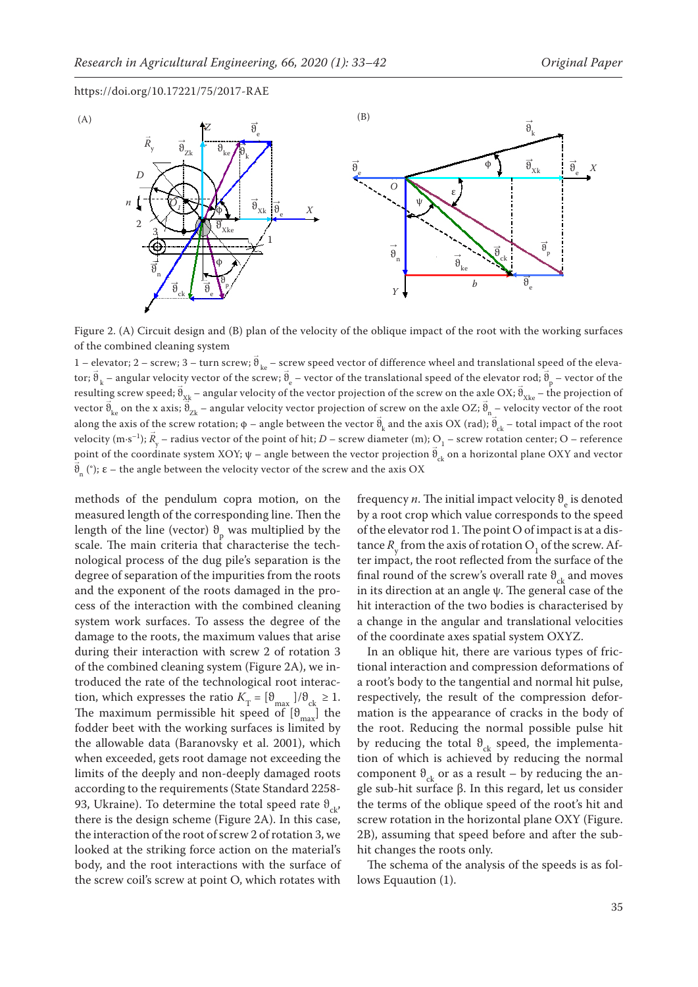

Figure 2. (A) Circuit design and (B) plan of the velocity of the oblique impact of the root with the working surfaces of the combined cleaning system

1 – elevator; 2 – screw; 3 – turn screw;  $\vec{\theta}_{ke}$  – screw speed vector of difference wheel and translational speed of the elevator;  $\vec{\theta}$  $k_{\rm k}$  – angular velocity vector of the screw;  $\vec{\theta}$  $\vec{e}_e$  – vector of the translational speed of the elevator rod;  $\vec{\theta}_p$  – vector of the resulting screw speed;  $\vec{\theta}_{Xk}$  – angular velocity of the vector projection of the screw on the axle OX;  $\vec{\theta}_{Xke}$  – the projection of vector  $\vec{\theta}_{ke}$  on the x axis;  $\hat{\theta}_{2k}$  – angular velocity vector projection of screw on the axle OZ;  $\vec{\theta}_{n}$  – velocity vector of the root along the axis of the screw rotation;  $\phi$  – angle between the vector  $\vec{\theta}$  $\mathbb{R}$  and the axis OX (rad);  $\mathbb{R}_{ck}$  – total impact of the root velocity (m·s<sup>-1</sup>);  $\vec{R}$  $y_{\rm y}$  – radius vector of the point of hit;  $D$  – screw diameter (m);  $\rm Q_1$  – screw rotation center;  $\rm O$  – reference point of the coordinate system XOY;  $\psi$  – angle between the vector projection  $\vec{\theta}_{ck}$  on a horizontal plane OXY and vector  $\vec{\theta}_n$  (°);  $\varepsilon$  – the angle between the velocity vector of the screw and the axis OX

methods of the pendulum copra motion, on the measured length of the corresponding line. Then the length of the line (vector)  $\theta_{\rm p}$  was multiplied by the scale. The main criteria that characterise the technological process of the dug pile's separation is the degree of separation of the impurities from the roots and the exponent of the roots damaged in the process of the interaction with the combined cleaning system work surfaces. To assess the degree of the damage to the roots, the maximum values that arise during their interaction with screw 2 of rotation 3 of the combined cleaning system (Figure 2A), we introduced the rate of the technological root interaction, which expresses the ratio  $K_T = \left[\vartheta_{\text{max}}\right] / \vartheta_{\text{ck}} \geq 1.$ The maximum permissible hit speed of  $[\vartheta_{\text{max}}]$  the fodder beet with the working surfaces is limited by the allowable data (Baranovsky et al. 2001), which when exceeded, gets root damage not exceeding the limits of the deeply and non-deeply damaged roots according to the requirements (State Standard 2258- 93, Ukraine). To determine the total speed rate  $\vartheta_{\alpha k}$ , there is the design scheme (Figure 2A). In this case, the interaction of the root of screw 2 of rotation 3, we looked at the striking force action on the material's body, and the root interactions with the surface of the screw coil's screw at point O, which rotates with

frequency *n*. The initial impact velocity  $\vartheta_{\rm e}$  is denoted by a root crop which value corresponds to the speed of the elevator rod 1. The point O of impact is at a distance  $R_{\rm y}$  from the axis of rotation  $O_{1,0}$  of the screw. After impact, the root reflected from the surface of the final round of the screw's overall rate  $\theta_{ck}$  and moves in its direction at an angle  $\psi$ . The general case of the hit interaction of the two bodies is characterised by a change in the angular and translational velocities of the coordinate axes spatial system OXYZ.

In an oblique hit, there are various types of frictional interaction and compression deformations of a root's body to the tangential and normal hit pulse, respectively, the result of the compression deformation is the appearance of cracks in the body of the root. Reducing the normal possible pulse hit by reducing the total  $\theta_{ck}$  speed, the implementation of which is achieved by reducing the normal component  $\theta_{ck}$  or as a result – by reducing the angle sub-hit surface β. In this regard, let us consider the terms of the oblique speed of the root's hit and screw rotation in the horizontal plane OXY (Figure. 2B), assuming that speed before and after the subhit changes the roots only.

The schema of the analysis of the speeds is as follows Equaution (1).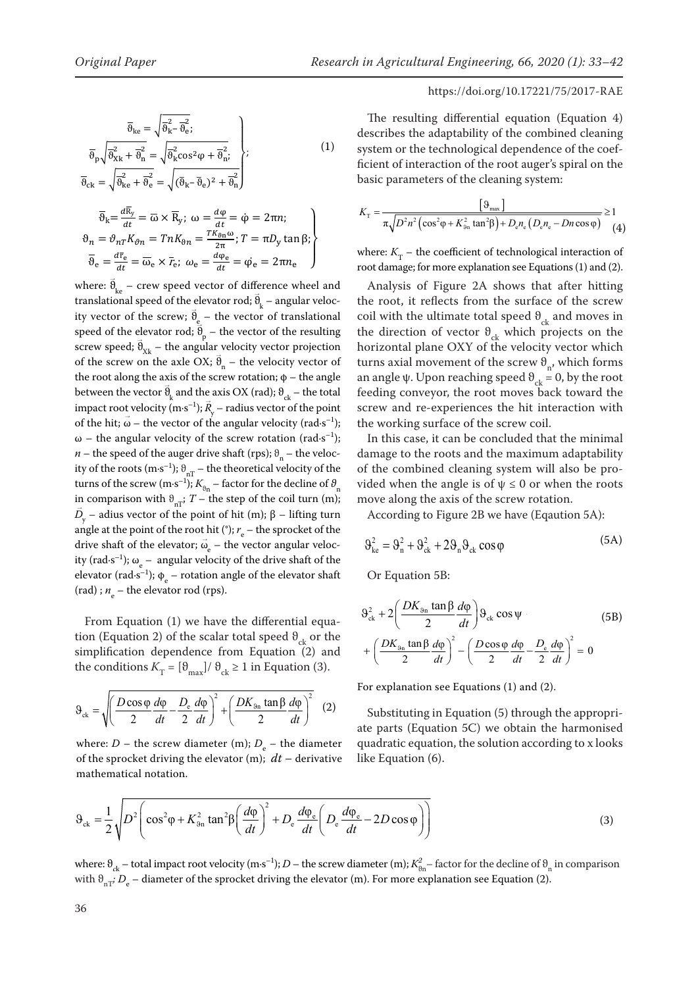only.

 $\overline{\vartheta}_{ck} = \sqrt{\vartheta}_{ke}^2 + \overline{\vartheta}_{e}^2 = \sqrt{(\bar{\vartheta}_{k} - \bar{\vartheta}_{e})^2 + \overline{\vartheta}_{n}^2}$ 

# https://doi.org/10.17221/75/2017-RAE

$$
\overline{\vartheta}_{\text{ke}} = \sqrt{\overline{\vartheta}_{\text{k}}^2 - \overline{\vartheta}_{\text{e}}^2};
$$
\n
$$
\overline{\vartheta}_{\text{p}} \sqrt{\overline{\vartheta}_{\text{Xk}}^2 + \overline{\vartheta}_{\text{n}}^2} = \sqrt{\overline{\vartheta}_{\text{k}}^2 \cos^2 \varphi + \overline{\vartheta}_{\text{n}}^2};
$$
\n
$$
\overline{\vartheta}_{\text{n}} = \sqrt{\overline{\vartheta}_{\text{k}}^2 + \overline{\vartheta}_{\text{n}}^2} = \sqrt{(\overline{\vartheta}_{\text{n}} - \overline{\vartheta}_{\text{n}})^2 + \overline{\vartheta}_{\text{n}}^2};
$$
\n(1)

 $\overline{J}$ 

$$
\overline{\vartheta}_{k} = \frac{d\overline{R}_{y}}{dt} = \overline{\omega} \times \overline{R}_{y}; \ \omega = \frac{d\varphi}{dt} = \dot{\varphi} = 2\pi n; \n\vartheta_{n} = \vartheta_{n} K_{\vartheta n} = T n K_{\vartheta n} = \frac{T K_{\vartheta n} \omega}{2\pi}; T = \pi D_{y} \tan \beta; \n\overline{\vartheta}_{e} = \frac{d\overline{r}_{e}}{dt} = \overline{\omega}_{e} \times \overline{r}_{e}; \ \omega_{e} = \frac{d\varphi_{e}}{dt} = \dot{\varphi}_{e} = 2\pi n_{e}
$$
\nwhere:  $K_{T}$  - the coefficient of the root damage; for more explanation

speed of the elevator rod;  $\ddot{\bar{\theta}}_n$  – the vector of the resulting screw speed;  $\vec{\theta}_{Xk}$  – the angular velocity vector projection the root along the axis of the screw rotation;  $\phi$  – the angle as between the vector  $v_k$  and the axis OX (rad),  $v_{ck}$  – the total impact root velocity (m·s<sup>-1</sup>);  $\overline{R}_y$  – radius vector of the point of the hit;  $\vec{\omega}$  – the vector of the angular velocity (rad s<sup>-1</sup>); the working surface of the so ω – the angular velocity of the screw rotation (rad s<sup>-1</sup>); In this case, it can be concl ity of the roots (m·s<sup>-1</sup>);  $\vartheta$ <sub>nT</sub> – the theoretical velocity of the along the axis of screw rotation (m-s)  $\mathfrak{m}$ turns of the screw (m·s<sup>-1</sup>);  $K_{\theta n}$  – factor for the decline of  $\theta_n$  vided w  $\vec{D}_v$  – adius vector of the point of hit (m);  $\beta$  – lifting turn angle at the point of the root hit (°);  $r_e$  – the sprocket of the ity (rad·s<sup>-1</sup>);  $\omega_e$  – angular velocity of the drive shaft of the elevator (rad·s<sup>-1</sup>);  $\phi_e$  – rotation angle of the elevator shaft (rad) ;  $n_e$  – the elevator rod (rps). where:  $\vec{\theta}_{ke}$  – crew speed vector of difference wheel and translational speed of the elevator rod;  $\vec{\theta}$ ranslational speed of the elevator rod;  $\vec{\theta}_k$  – angular veloc-<br>the root, it reflects from the ity vector of the screw;  $\vec{\vartheta}$ y vector of the screw;  $\vec{\theta}_{\underline{e}}$  – the vector of translational peed of the elevator rod;  $\vartheta_p$  – the vector of the resulting the direct process and  $\vec{\theta}_p$ of the screw on the axle OX;  $\vec{\theta}_n$  – the velocity vector of turns axial movement of the between the vector  $\vec{\vartheta}$ etween the vector  $\theta_k$  and the axis OX (rad);  $\theta_{ck}$  – the total independence of the root not contribute the decline of the coil turn (m) in comparison with  $\theta_k$  and  $\theta_k$  $v_y$  – radius vector of the point *n* – the speed of the auger drive shaft (rps);  $\vartheta_n$  – the veloc- damage to the drive shaft of the electron control of the electron control of the drive shaft of the drive shaft of the drive shaft of the drive shaft of in comparison with  $\theta_{nT}$ ; *T* – the step of the coil turn (m); move along the axis of the sci ), – adius vector of the point of hit (m); β – lifting turn  $\qquad$  According to F drive shaft of the elevator;  $\vec{\omega}$  $v_e$  – the vector angular velocelevation rodicity rodicity rodicity rodicity vector rodicity in the control of resulting speed to the control of  $\vec{R}$ 

From Equation (1) we have the differential equation (Equation 2) of the scalar total speed  $\theta_{ck}$  or the  $(DK_{\text{an}} \tan \beta \, d\varphi)^2$  ( $D \cos \varphi \, d\varphi$ )  $D_e \, d\varphi$ simplification dependence from Equation (2) and  $+\left(\frac{DK_{9n} \tan \beta d\varphi}{2}\right)^2 - \left(\frac{D\cos\varphi d\varphi}{2}\right)^2 \frac{d\varphi}{dt} - \frac{D_e}{2}\frac{d\varphi}{dt} = 0$ the conditions  $K_T = [\vartheta_{\text{max}}]/\vartheta_{\text{ck}} \ge 1$  in Equation (3).

$$
\vartheta_{ck} = \sqrt{\left(\frac{D\cos\varphi}{2}\frac{d\varphi}{dt} - \frac{D_e}{2}\frac{d\varphi}{dt}\right)^2 + \left(\frac{DK_{\vartheta_{n}}\tan\beta}{2}\frac{d\varphi}{dt}\right)^2} \quad (2)
$$

where:  $D$  – the screw diameter (m);  $D_{\rm e}$  – the diameter of the sprocket driving the elevator (m); *dt –* derivative mathematical notation.

The resulting differential equation (Equation 4) describes the adaptability of the combined cleaning (1) system or the technological dependence of the coef*system* of the technological dependence of the coef-<br>ficient of interaction of the root auger's spiral on the herent of interaction of the root dager  $\sigma$ .

$$
K_{\rm T} = \frac{\left[9_{\rm max}\right]}{\pi \sqrt{D^2 n^2 \left(\cos^2 \varphi + K_{9n}^2 \tan^2 \beta\right) + D_{\rm e} n_{\rm e} \left(D_{\rm e} n_{\rm e} - D n \cos \varphi\right)}} \ge 1
$$
(4)

 $\overline{\theta}_r = \frac{d\overline{r}_e}{dt} = \overline{\omega}_r \times \overline{r}$ ;  $\omega_e = \frac{d\varphi_e}{dt} = \omega_e = 2\pi n_e$  where:  $K_T$  – the coefficient of technological interaction of root damage; for more explanation see Equations (1) and (2).

> Analysis of Figure 2A shows that after hitting the root, it reflects from the surface of the screw – the vector of translational coil with the ultimate total speed  $\theta_{ck}$  and moves in the direction of vector  $\theta_{ck}$  which projects on the having the set of the set of the set of the set of the set of the set of the set of the set of the set of the set of the set of the set of the set of the set of the se horizontal plane OXY of the velocity vector which turns axial movement of the screw  $\theta_{n}$ , which forms tion; φ – the angle an angle ψ. Upon reaching speed  $\theta_{ck} = 0$ , by the root feeding conveyor, the root moves back toward the screw and re-experiences the hit interaction with the working surface of the screw coil.

> > In this case, it can be concluded that the minimal damage to the roots and the maximum adaptability  $\mathcal{L}$ of the combined cleaning system will also be provided when the angle is of  $\psi \leq 0$  or when the roots move along the axis of the screw rotation.

According to Figure 2B we have (Eqaution 5A):

$$
\Theta_{\rm ke}^2 = \Theta_{\rm n}^2 + \Theta_{\rm ck}^2 + 2\Theta_{\rm n}\Theta_{\rm ck}\cos\varphi\tag{5A}
$$

Or Equation 5B:

$$
\mathbf{a} \cdot \mathbf{b} = \begin{cases}\n\mathbf{a} \cdot \mathbf{b} = \mathbf{b} \\
\mathbf{b} \cdot \mathbf{c} = \mathbf{b} \\
\mathbf{c} \cdot \mathbf{c} = \mathbf{b} \\
\mathbf{c} \cdot \mathbf{c} = \mathbf{b} \\
\mathbf{c} \cdot \mathbf{c} = \mathbf{b} \\
\mathbf{c} \cdot \mathbf{c} = \mathbf{b} \\
\mathbf{c} \cdot \mathbf{c} = \mathbf{b} \\
\mathbf{c} \cdot \mathbf{c} = \mathbf{b} \\
\mathbf{c} \cdot \mathbf{c} = \mathbf{b} \\
\mathbf{c} \cdot \mathbf{c} = \mathbf{b} \\
\mathbf{c} \cdot \mathbf{c} = \mathbf{b} \\
\mathbf{c} \cdot \mathbf{c} = \mathbf{b} \\
\mathbf{c} \cdot \mathbf{c} = \mathbf{b} \\
\mathbf{c} \cdot \mathbf{c} = \mathbf{b} \\
\mathbf{c} \cdot \mathbf{c} = \mathbf{b} \\
\mathbf{c} \cdot \mathbf{c} = \mathbf{b} \\
\mathbf{c} \cdot \mathbf{c} = \mathbf{b} \\
\mathbf{c} \cdot \mathbf{c} = \mathbf{b} \\
\mathbf{c} \cdot \mathbf{c} = \mathbf{b} \\
\mathbf{c} \cdot \mathbf{c} = \mathbf{b} \\
\mathbf{c} \cdot \mathbf{c} = \mathbf{b} \\
\mathbf{c} \cdot \mathbf{c} = \mathbf{b} \\
\mathbf{c} \cdot \mathbf{c} = \mathbf{b} \\
\mathbf{c} \cdot \mathbf{c} = \mathbf{b} \\
\mathbf{c} \cdot \mathbf{c} = \mathbf{b} \\
\mathbf{c} \cdot \mathbf{c} = \mathbf{b} \\
\mathbf{c} \cdot \mathbf{c} = \mathbf{b} \\
\mathbf{c} \cdot \mathbf{c} = \mathbf{b} \\
\mathbf{c} \cdot \mathbf{c} = \mathbf{b} \\
\mathbf{c} \cdot \mathbf{c} = \mathbf{b} \\
\mathbf{c} \cdot \mathbf{c} = \mathbf{b} \\
\mathbf{c} \cdot \mathbf{c} = \mathbf{b} \\
\mathbf{c} \cdot \mathbf{c} = \mathbf{b} \\
\mathbf{c} \cdot \mathbf{c
$$

For explanation see Equations (1) and (2).

Substituting in Equation (5) through the appropriate parts (Equation 5C) we obtain the harmonised quadratic equation, the solution according to x looks like Equation (6).

$$
\vartheta_{ck} = \frac{1}{2} \sqrt{D^2 \left( \cos^2 \varphi + K_{\vartheta_{\rm n}}^2 \tan^2 \beta \left( \frac{d\varphi}{dt} \right)^2 + D_{\rm e} \frac{d\varphi_{\rm e}}{dt} \left( D_{\rm e} \frac{d\varphi_{\rm e}}{dt} - 2D \cos \varphi \right) \right)}
$$
(3)

where:  $\theta_{ck}$  – total impact root velocity (m·s<sup>-1</sup>); *D* – the screw diameter (m);  $K_{\theta n}^2$  – factor for the decline of  $\theta_n$  in comparison with  $\vartheta_{\mathtt{nr}^{\mathtt{r}}}, D_{\mathtt{e}}$  – diameter of the sprocket driving the elevator (m). For more explanation see Equation (2).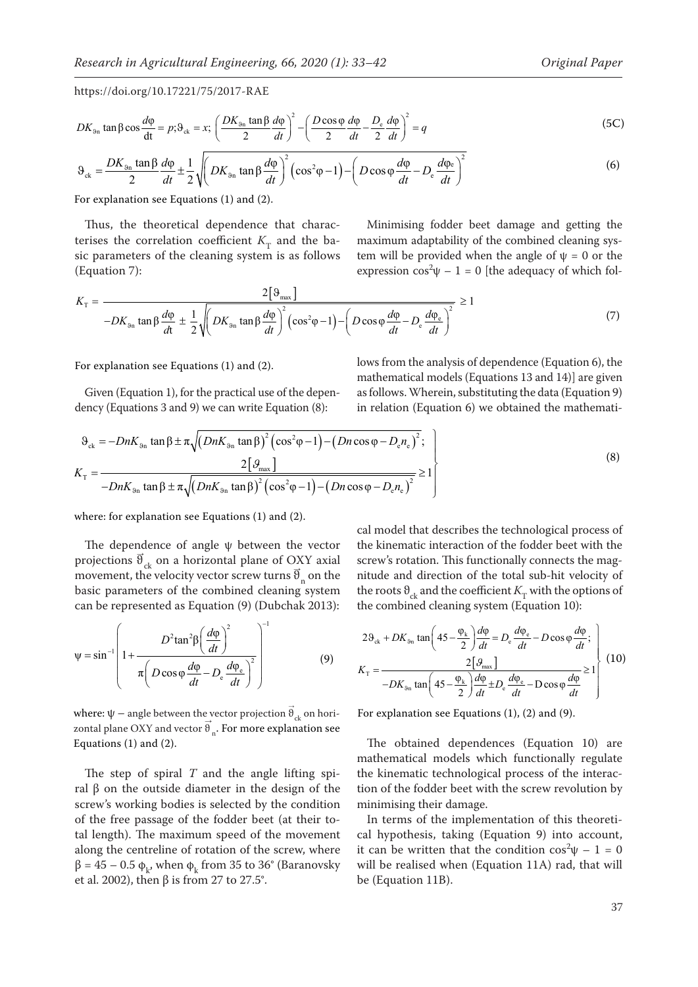$$
DK_{9n} \tan \beta \cos \frac{d\varphi}{dt} = p; \vartheta_{ck} = x; \left(\frac{DK_{9n} \tan \beta \, d\varphi}{2} \right)^2 - \left(\frac{D \cos \varphi \, d\varphi}{2} - \frac{D_e}{dt} \frac{d\varphi}{2} \right)^2 = q \tag{5C}
$$

$$
\vartheta_{ck} = \frac{DK_{\vartheta_{n}} \tan \beta}{2} \frac{d\varphi}{dt} \pm \frac{1}{2} \sqrt{\left(DK_{\vartheta_{n}} \tan \beta \frac{d\varphi}{dt}\right)^{2} \left(\cos^{2}\varphi - 1\right) - \left(D \cos \varphi \frac{d\varphi}{dt} - D_{e} \frac{d\varphi_{e}}{dt}\right)^{2}}
$$
(6)

For explanation see Equations (1) and (2).

Thus, the theoretical dependence that characterises the correlation coefficient  $K<sub>T</sub>$  and the basic parameters of the cleaning system is as follows (Equation 7):

Minimising fodder beet damage and getting the maximum adaptability of the combined cleaning system will be provided when the angle of  $\psi = 0$  or the expression  $\cos^2\psi - 1 = 0$  [the adequacy of which fol-

$$
K_{\rm T} = \frac{2\left[\vartheta_{\rm max}\right]}{-DK_{\vartheta_{\rm n}}\tan\beta\frac{d\varphi}{dt} \pm \frac{1}{2}\sqrt{\left(DK_{\vartheta_{\rm n}}\tan\beta\frac{d\varphi}{dt}\right)^2\left(\cos^2\varphi - 1\right) - \left(D\cos\varphi\frac{d\varphi}{dt} - D_{\rm e}\frac{d\varphi_{\rm e}}{dt}\right)^2}} \ge 1\tag{7}
$$

For explanation see Equations (1) and (2).

Given (Equation 1), for the practical use of the dependency (Equations 3 and 9) we can write Equation (8):

lows from the analysis of dependence (Equation 6), the mathematical models (Equations 13 and 14)] are given as follows. Wherein, substituting the data (Equation 9) in relation (Equation 6) we obtained the mathemati-

$$
\vartheta_{ck} = -DnK_{g_{n}} \tan \beta \pm \pi \sqrt{(DnK_{g_{n}} \tan \beta)^{2} (\cos^{2}\phi - 1) - (Dn \cos \phi - D_{e}n_{e})^{2}}; K_{T} = \frac{2[\vartheta_{max}]}{-DnK_{g_{n}} \tan \beta \pm \pi \sqrt{(DnK_{g_{n}} \tan \beta)^{2} (\cos^{2}\phi - 1) - (Dn \cos \phi - D_{e}n_{e})^{2}}} \ge 1
$$
\n(8)

where: for explanation see Equations (1) and (2).

The dependence of angle  $\psi$  between the vector projections  $\vec{\theta}_{ck}$  on a horizontal plane of OXY axial movement, the velocity vector screw turns  $\vec{\theta}$ n on the basic parameters of the combined cleaning system can be represented as Equation (9) (Dubchak 2013):

$$
\psi = \sin^{-1} \left( 1 + \frac{D^2 \tan^2 \beta \left( \frac{d\phi}{dt} \right)^2}{\pi \left( D \cos \phi \frac{d\phi}{dt} - D_e \frac{d\phi_e}{dt} \right)^2} \right)^{-1}
$$
(9)

where:  $\Psi$  – angle between the vector projection  $\vec{\theta}_{\rm ck}$  on horizontal plane OXY and vector  $\vec{\theta}_n$ . For more explanation see Equations (1) and (2).

The step of spiral *T* and the angle lifting spiral β on the outside diameter in the design of the screw's working bodies is selected by the condition of the free passage of the fodder beet (at their total length). The maximum speed of the movement along the centreline of rotation of the screw, where  $β = 45 - 0.5 φ_k$ , when φ<sub>k</sub> from 35 to 36° (Baranovsky et al. 2002), then β is from 27 to 27.5°.

cal model that describes the technological process of the kinematic interaction of the fodder beet with the screw's rotation. This functionally connects the magnitude and direction of the total sub-hit velocity of the roots  $\theta_{ck}$  and the coefficient  $K_{\rm T}$  with the options of the combined cleaning system (Equation 10):

$$
2\vartheta_{ck} + DK_{\vartheta_{n}} \tan\left(45 - \frac{\varphi_{k}}{2}\right) \frac{d\varphi}{dt} = D_{e} \frac{d\varphi_{e}}{dt} - D \cos\varphi \frac{d\varphi}{dt};
$$
  

$$
K_{\text{T}} = \frac{2\left[\vartheta_{\text{max}}\right]}{-DK_{\vartheta_{n}} \tan\left(45 - \frac{\varphi_{k}}{2}\right) \frac{d\varphi}{dt} \pm D_{e} \frac{d\varphi_{e}}{dt} - D \cos\varphi \frac{d\varphi}{dt}} \ge 1\right] \tag{10}
$$

For explanation see Equations (1), (2) and (9).

The obtained dependences (Equation 10) are mathematical models which functionally regulate the kinematic technological process of the interaction of the fodder beet with the screw revolution by minimising their damage.

In terms of the implementation of this theoretical hypothesis, taking (Equation 9) into account, it can be written that the condition  $\cos^2\psi - 1 = 0$ will be realised when (Equation 11A) rad, that will be (Equation 11B).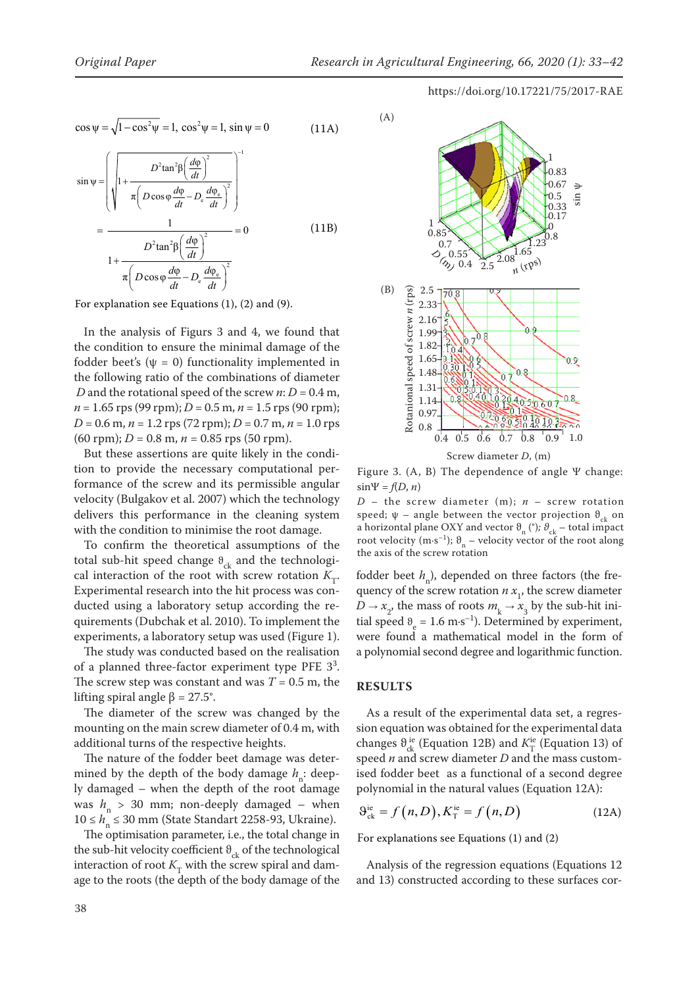$$
\cos \psi = \sqrt{1 - \cos^2 \psi} = 1, \cos^2 \psi = 1, \sin \psi = 0
$$
 (11A)

$$
\sin \psi = \left( \sqrt{1 + \frac{D^2 \tan^2 \beta \left( \frac{d\phi}{dt} \right)^2}{\pi \left( D \cos \phi \frac{d\phi}{dt} - D_e \frac{d\phi_e}{dt} \right)^2}} \right)^{-1}
$$
\n
$$
= \frac{1}{D^2 \tan^2 \beta \left( \frac{d\phi}{dt} \right)^2} = 0 \tag{11B}
$$
\n
$$
1 + \frac{D^2 \tan^2 \beta \left( \frac{d\phi}{dt} \right)^2}{\pi \left( D \cos \phi \frac{d\phi}{dt} - D_e \frac{d\phi_e}{dt} \right)^2}
$$

For explanation see Equations (1), (2) and (9).

In the analysis of Figurs 3 and 4, we found that the condition to ensure the minimal damage of the fodder beet's  $(\psi = 0)$  functionality implemented in the following ratio of the combinations of diameter *D* and the rotational speed of the screw  $n$ :  $D = 0.4$  m,  $n = 1.65$  rps (99 rpm);  $D = 0.5$  m,  $n = 1.5$  rps (90 rpm); *D* = 0.6 m, *n* = 1.2 rps (72 rpm); *D* = 0.7 m, *n* = 1.0 rps  $(60$  rpm);  $D = 0.8$  m,  $n = 0.85$  rps  $(50$  rpm).

But these assertions are quite likely in the condition to provide the necessary computational performance of the screw and its permissible angular velocity (Bulgakov et al. 2007) which the technology delivers this performance in the cleaning system with the condition to minimise the root damage.

To confirm the theoretical assumptions of the total sub-hit speed change  $\theta_{ck}$  and the technological interaction of the root with screw rotation  $K_T$ . Experimental research into the hit process was conducted using a laboratory setup according the requirements (Dubchak et al. 2010). To implement the experiments, a laboratory setup was used (Figure 1).

The study was conducted based on the realisation of a planned three-factor experiment type PFE  $3^3$ . The screw step was constant and was  $T = 0.5$  m, the lifting spiral angle β = 27.5°.

The diameter of the screw was changed by the mounting on the main screw diameter of 0.4 m, with additional turns of the respective heights.

The nature of the fodder beet damage was determined by the depth of the body damage *h*<sub>n</sub>: deeply damaged – when the depth of the root damage was  $h_n > 30$  mm; non-deeply damaged – when 10 ≤ *h*<sub>n</sub> ≤ 30 mm (State Standart 2258-93, Ukraine).

The optimisation parameter, i.e., the total change in the sub-hit velocity coefficient  $\theta_{ck}$  of the technological interaction of root  $K<sub>T</sub>$  with the screw spiral and damage to the roots (the depth of the body damage of the



Screw diameter *D*, (m)

Figure 3. (A, B) The dependence of angle Ψ change:  $sin\Psi = f(D, n)$ 

*D* – the screw diameter (m); *n* – screw rotation speed;  $\psi$  – angle between the vector projection  $\vartheta_{ck}$  on a horizontal plane OXY and vector  $\vartheta_n$  (°);  $\vartheta_{ck}$  – total impact root velocity (m·s<sup>-1</sup>);  $\vartheta_n$  – velocity vector of the root along the axis of the screw rotation

fodder beet  $h_n$ ), depended on three factors (the frequency of the screw rotation  $n x_1$ , the screw diameter  $D \rightarrow x_2$ , the mass of roots  $m_k \rightarrow x_3$  by the sub-hit initial speed  $\theta_e = 1.6 \text{ m} \cdot \text{s}^{-1}$ ). Determined by experiment, were found a mathematical model in the form of a polynomial second degree and logarithmic function.

#### **RESULTS**

As a result of the experimental data set, a regression equation was obtained for the experimental data changes  $\theta_{ck}^{ie}$  (Equation 12B) and  $K_T^{ie}$  (Equation 13) of speed *n* and screw diameter *D* and the mass customised fodder beet as a functional of a second degree polynomial in the natural values (Equation 12A):

$$
\Theta_{\text{ck}}^{\text{ie}} = f(n, D), K_{\text{T}}^{\text{ie}} = f(n, D) \tag{12A}
$$

For explanations see Equations (1) and (2)

Analysis of the regression equations (Equations 12 and 13) constructed according to these surfaces cor-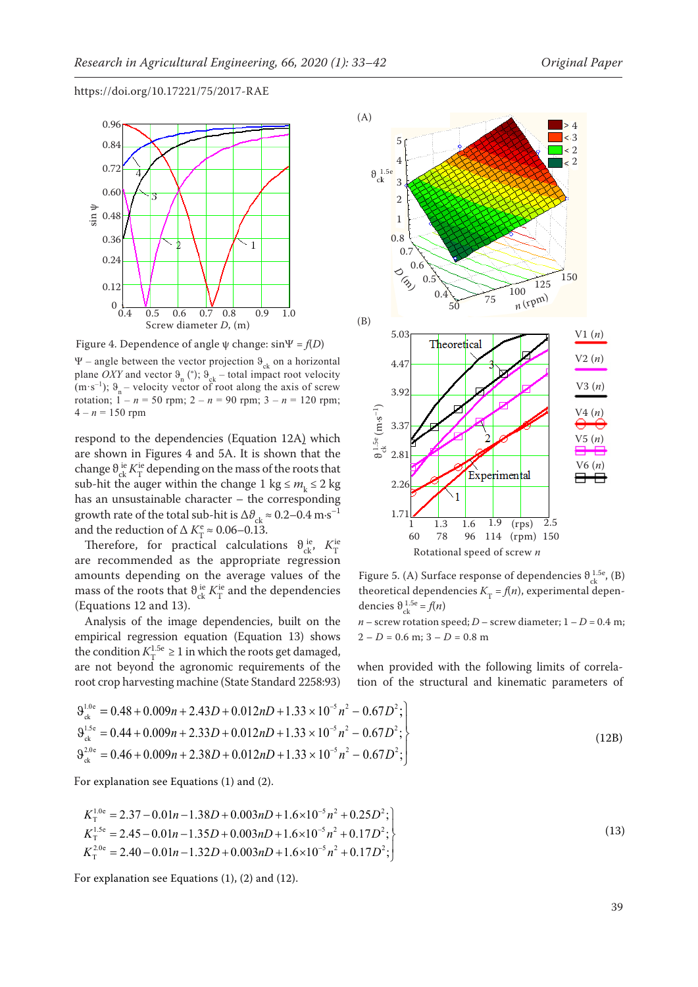

Ψ – angle between the vector projection  $\vartheta_{ck}$  on a horizontal plane *OXY* and vector  $\Theta_n$  (°);  $\Theta_{ck}$  – total impact root velocity (m·s<sup>-1</sup>);  $\vartheta_n$  – velocity vector of root along the axis of screw rotation;  $1 - n = 50$  rpm;  $2 - n = 90$  rpm;  $3 - n = 120$  rpm;  $4 - n = 150$  rpm

respond to the dependencies (Equation 12A) which are shown in Figures 4 and 5A. It is shown that the change  $\theta_{ck}^{ie}$  *K*<sup>ie</sup> depending on the mass of the roots that sub-hit the auger within the change 1 kg  $\leq m_k \leq 2$  kg has an unsustainable character – the corresponding growth rate of the total sub-hit is  $\Delta\theta_{ck} \approx 0.2-0.4 \text{ m} \cdot \text{s}^{-1}$ and the reduction of  $\Delta K_{\rm T}^{\rm e} \approx 0.06 - 0.13$ .

Therefore, for practical calculations  $\theta_{ck}^{ie}$ ,  $K_T^{ie}$ are recommended as the appropriate regression amounts depending on the average values of the mass of the roots that  $\theta_{ck}^{ie} K_T^{ie}$  and the dependencies (Equations 12 and 13).

Analysis of the image dependencies, built on the empirical regression equation (Equation 13) shows the condition  $K_{\text{T}}^{1.5e} \ge 1$  in which the roots get damaged, are not beyond the agronomic requirements of the root crop harvesting machine (State Standard 2258:93)



Figure 5. (A) Surface response of dependencies  $\theta_{ck}^{1.5e}$ , (B) theoretical dependencies  $K_T = f(n)$ , experimental dependencies  $\vartheta_{ck}^{1.5e} = f(n)$ 

*n* – screw rotation speed; *D* – screw diameter;  $1 - D = 0.4$  m;  $2 - D = 0.6$  m;  $3 - D = 0.8$  m

when provided with the following limits of correlation of the structural and kinematic parameters of

$$
\vartheta_{ck}^{1.0e} = 0.48 + 0.009n + 2.43D + 0.012nD + 1.33 \times 10^{-5} n^2 - 0.67D^2;
$$
\n
$$
\vartheta_{ck}^{1.5e} = 0.44 + 0.009n + 2.33D + 0.012nD + 1.33 \times 10^{-5} n^2 - 0.67D^2;
$$
\n
$$
\vartheta_{ck}^{2.0e} = 0.46 + 0.009n + 2.38D + 0.012nD + 1.33 \times 10^{-5} n^2 - 0.67D^2;
$$
\n(12B)

For explanation see Equations (1) and (2).

$$
K_{\text{T}}^{1.0\text{e}} = 2.37 - 0.01n - 1.38D + 0.003nD + 1.6 \times 10^{-5} n^2 + 0.25D^2;
$$
\n
$$
K_{\text{T}}^{1.5\text{e}} = 2.45 - 0.01n - 1.35D + 0.003nD + 1.6 \times 10^{-5} n^2 + 0.17D^2;
$$
\n
$$
K_{\text{T}}^{2.0\text{e}} = 2.40 - 0.01n - 1.32D + 0.003nD + 1.6 \times 10^{-5} n^2 + 0.17D^2;
$$
\n
$$
(13)
$$

For explanation see Equations (1), (2) and (12).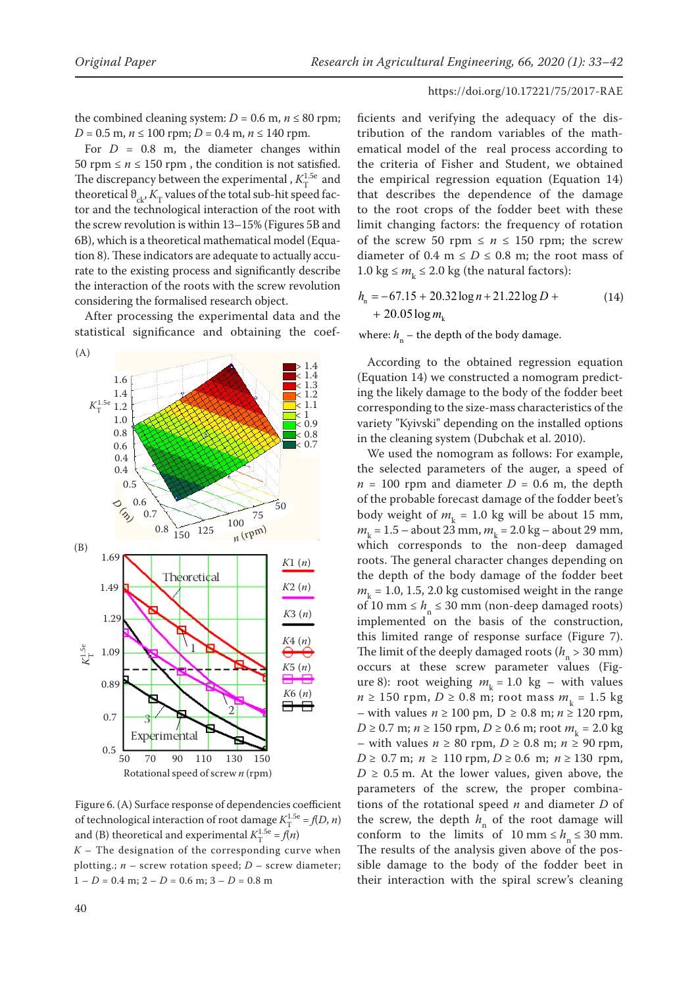the combined cleaning system:  $D = 0.6$  m,  $n \le 80$  rpm; *D* = 0.5 m,  $n \le 100$  rpm; *D* = 0.4 m,  $n \le 140$  rpm.

For  $D = 0.8$  m, the diameter changes within 50 rpm  $\leq n \leq 150$  rpm, the condition is not satisfied. The discrepancy between the experimental ,  $K_T^{1.5e}$  and theoretical  $\theta_{ck}$ ,  $K_T$  values of the total sub-hit speed factor and the technological interaction of the root with the screw revolution is within 13–15% (Figures 5B and 6B), which is a theoretical mathematical model (Equation 8). These indicators are adequate to actually accurate to the existing process and significantly describe the interaction of the roots with the screw revolution considering the formalised research object.

After processing the experimental data and the  $h_1 + 20.05 \log m_k$ statistical significance and obtaining the coef-



Figure 6. (A) Surface response of dependencies coefficient of technological interaction of root damage  $K_{\rm T}^{1.5e} = f(D, n)$ and (B) theoretical and experimental  $K_{\rm T}^{1.5e} = f(n)$  $K$  – The designation of the corresponding curve when plotting.;  $n -$  screw rotation speed;  $D -$  screw diameter;  $1 - D = 0.4$  m;  $2 - D = 0.6$  m;  $3 - D = 0.8$  m

ficients and verifying the adequacy of the distribution of the random variables of the mathematical model of the real process according to the criteria of Fisher and Student, we obtained the empirical regression equation (Equation 14) that describes the dependence of the damage to the root crops of the fodder beet with these limit changing factors: the frequency of rotation of the screw 50 rpm  $\leq n \leq 150$  rpm; the screw diameter of 0.4 m  $\leq D \leq 0.8$  m; the root mass of 1.0 kg  $\leq m_k \leq 2.0$  kg (the natural factors):

$$
h_n = -67.15 + 20.32 \log n + 21.22 \log D +
$$
  
+ 20.05 \log m<sub>k</sub> (14)

where:  $h_n$  – the depth of the body damage.

According to the obtained regression equation (Equation 14) we constructed a nomogram predicting the likely damage to the body of the fodder beet corresponding to the size-mass characteristics of the variety "Kyivski" depending on the installed options in the cleaning system (Dubchak et al. 2010).

We used the nomogram as follows: For example, the selected parameters of the auger, a speed of  $n = 100$  rpm and diameter  $D = 0.6$  m, the depth of the probable forecast damage of the fodder beet's body weight of  $m_k = 1.0$  kg will be about 15 mm, *m*<sub>k</sub> = 1.5 – about 23 mm, *m*<sub>k</sub> = 2.0 kg – about 29 mm, which corresponds to the non-deep damaged roots. The general character changes depending on the depth of the body damage of the fodder beet  $m<sub>k</sub>$  = 1.0, 1.5, 2.0 kg customised weight in the range of 10 mm  $\leq h_n \leq 30$  mm (non-deep damaged roots) implemented on the basis of the construction, this limited range of response surface (Figure 7). The limit of the deeply damaged roots ( $h_n > 30$  mm) occurs at these screw parameter values (Figure 8): root weighing  $m_k = 1.0$  kg – with values *n* ≥ 150 rpm, *D* ≥ 0.8 m; root mass  $m_k$  = 1.5 kg – with values *n* ≥ 100 pm, D ≥ 0.8 m; *n* ≥ 120 rpm, *D* ≥ 0.7 m; *n* ≥ 150 rpm, *D* ≥ 0.6 m; root  $m_k = 2.0$  kg – with values *n* ≥ 80 rpm, *D* ≥ 0.8 m; *n* ≥ 90 rpm, *D* ≥ 0.7 m; *n* ≥ 110 rpm, *D* ≥ 0.6 m; *n* ≥ 130 rpm,  $D \geq 0.5$  m. At the lower values, given above, the parameters of the screw, the proper combinations of the rotational speed *n* and diameter *D* of the screw, the depth  $h_n$  of the root damage will conform to the limits of 10 mm  $\le h_n \le 30$  mm. The results of the analysis given above of the possible damage to the body of the fodder beet in their interaction with the spiral screw's cleaning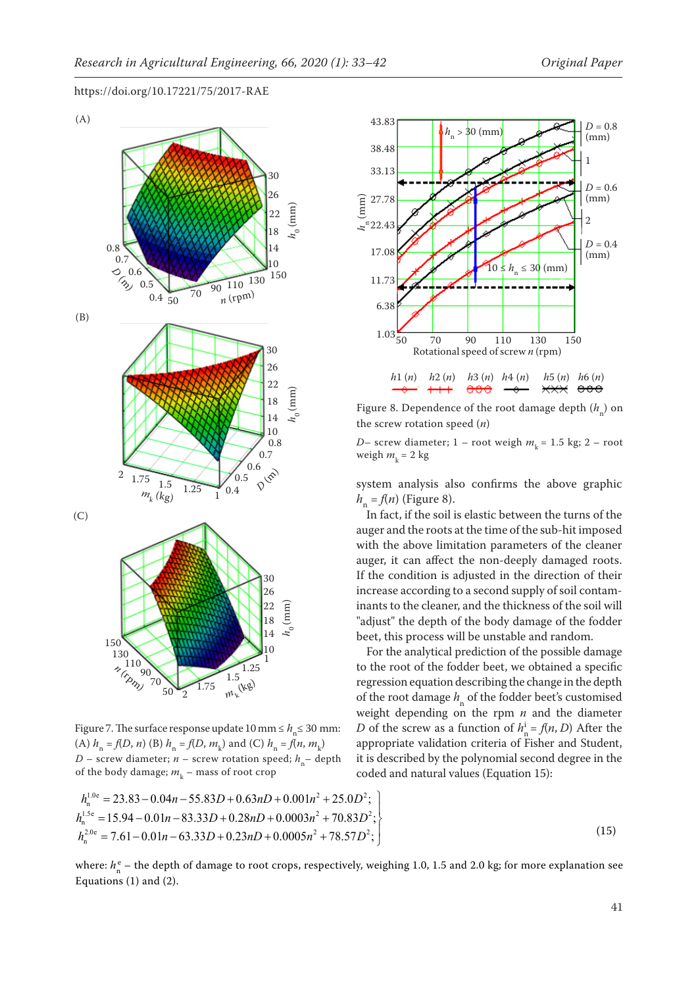

Figure 7. The surface response update  $10 \text{ mm} \le h_n \le 30 \text{ mm}$ : (A)  $h_n = f(D, n)$  (B)  $h_n = f(D, m_k)$  and (C)  $h_n = f(n, m_k)$ *D* – screw diameter; *n* – screw rotation speed;  $h_n$ – depth of the body damage;  $m_{\rm k}$  – mass of root crop





Figure 8. Dependence of the root damage depth  $(h_n)$  on the screw rotation speed (*n*)

*D*– screw diameter; 1 – root weigh  $m_k$  = 1.5 kg; 2 – root weigh  $m_k = 2$  kg

system analysis also confirms the above graphic  $h_n = f(n)$  (Figure 8).

In fact, if the soil is elastic between the turns of the auger and the roots at the time of the sub-hit imposed with the above limitation parameters of the cleaner auger, it can affect the non-deeply damaged roots. If the condition is adjusted in the direction of their increase according to a second supply of soil contaminants to the cleaner, and the thickness of the soil will "adjust" the depth of the body damage of the fodder beet, this process will be unstable and random.

For the analytical prediction of the possible damage to the root of the fodder beet, we obtained a specific regression equation describing the change in the depth of the root damage  $h_n$  of the fodder beet's customised weight depending on the rpm *n* and the diameter *D* of the screw as a function of  $h_n^i = f(n, D)$  After the appropriate validation criteria of Fisher and Student, it is described by the polynomial second degree in the coded and natural values (Equation 15):

$$
(15)
$$

where:  $h_n^e$  – the depth of damage to root crops, respectively, weighing 1.0, 1.5 and 2.0 kg; for more explanation see Equations (1) and (2).